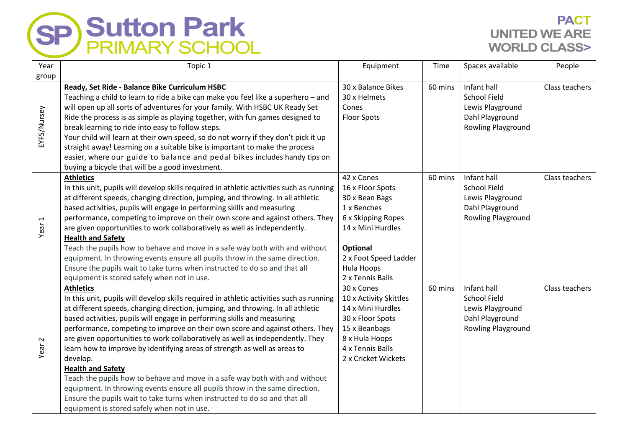

## **PACT UNITED WE ARE WORLD CLASS>**

| Year              | Topic 1                                                                                  | Equipment              | Time    | Spaces available          | People         |
|-------------------|------------------------------------------------------------------------------------------|------------------------|---------|---------------------------|----------------|
| group             |                                                                                          |                        |         |                           |                |
| EYFS/Nursey       | Ready, Set Ride - Balance Bike Curriculum HSBC                                           | 30 x Balance Bikes     | 60 mins | Infant hall               | Class teachers |
|                   | Teaching a child to learn to ride a bike can make you feel like a superhero - and        | 30 x Helmets           |         | <b>School Field</b>       |                |
|                   | will open up all sorts of adventures for your family. With HSBC UK Ready Set             | Cones                  |         | Lewis Playground          |                |
|                   | Ride the process is as simple as playing together, with fun games designed to            | <b>Floor Spots</b>     |         | Dahl Playground           |                |
|                   | break learning to ride into easy to follow steps.                                        |                        |         | <b>Rowling Playground</b> |                |
|                   | Your child will learn at their own speed, so do not worry if they don't pick it up       |                        |         |                           |                |
|                   | straight away! Learning on a suitable bike is important to make the process              |                        |         |                           |                |
|                   | easier, where our guide to balance and pedal bikes includes handy tips on                |                        |         |                           |                |
|                   | buying a bicycle that will be a good investment.                                         |                        |         |                           |                |
|                   | <b>Athletics</b>                                                                         | 42 x Cones             | 60 mins | Infant hall               | Class teachers |
|                   | In this unit, pupils will develop skills required in athletic activities such as running | 16 x Floor Spots       |         | <b>School Field</b>       |                |
|                   | at different speeds, changing direction, jumping, and throwing. In all athletic          | 30 x Bean Bags         |         | Lewis Playground          |                |
|                   | based activities, pupils will engage in performing skills and measuring                  | 1 x Benches            |         | Dahl Playground           |                |
|                   | performance, competing to improve on their own score and against others. They            | 6 x Skipping Ropes     |         | <b>Rowling Playground</b> |                |
| Year <sub>1</sub> | are given opportunities to work collaboratively as well as independently.                | 14 x Mini Hurdles      |         |                           |                |
|                   | <b>Health and Safety</b>                                                                 |                        |         |                           |                |
|                   | Teach the pupils how to behave and move in a safe way both with and without              | Optional               |         |                           |                |
|                   | equipment. In throwing events ensure all pupils throw in the same direction.             | 2 x Foot Speed Ladder  |         |                           |                |
|                   | Ensure the pupils wait to take turns when instructed to do so and that all               | Hula Hoops             |         |                           |                |
|                   | equipment is stored safely when not in use.                                              | 2 x Tennis Balls       |         |                           |                |
|                   | <b>Athletics</b>                                                                         | 30 x Cones             | 60 mins | Infant hall               | Class teachers |
|                   | In this unit, pupils will develop skills required in athletic activities such as running | 10 x Activity Skittles |         | <b>School Field</b>       |                |
|                   | at different speeds, changing direction, jumping, and throwing. In all athletic          | 14 x Mini Hurdles      |         | Lewis Playground          |                |
|                   | based activities, pupils will engage in performing skills and measuring                  | 30 x Floor Spots       |         | Dahl Playground           |                |
| Year <sub>2</sub> | performance, competing to improve on their own score and against others. They            | 15 x Beanbags          |         | Rowling Playground        |                |
|                   | are given opportunities to work collaboratively as well as independently. They           | 8 x Hula Hoops         |         |                           |                |
|                   | learn how to improve by identifying areas of strength as well as areas to                | 4 x Tennis Balls       |         |                           |                |
|                   | develop.                                                                                 | 2 x Cricket Wickets    |         |                           |                |
|                   | <b>Health and Safety</b>                                                                 |                        |         |                           |                |
|                   | Teach the pupils how to behave and move in a safe way both with and without              |                        |         |                           |                |
|                   | equipment. In throwing events ensure all pupils throw in the same direction.             |                        |         |                           |                |
|                   | Ensure the pupils wait to take turns when instructed to do so and that all               |                        |         |                           |                |
|                   | equipment is stored safely when not in use.                                              |                        |         |                           |                |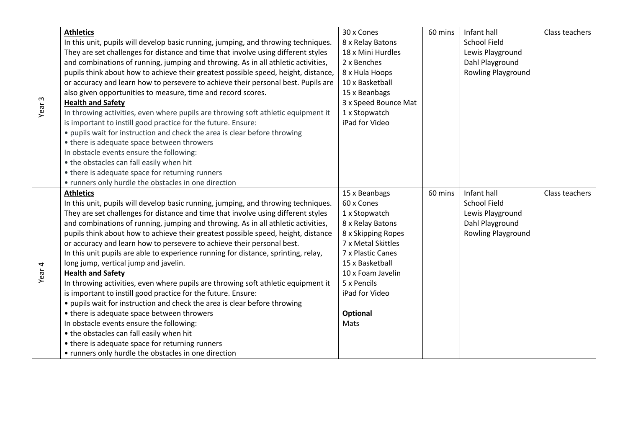|                   | <b>Athletics</b>                                                                   | 30 x Cones           | 60 mins | Infant hall         | Class teachers |
|-------------------|------------------------------------------------------------------------------------|----------------------|---------|---------------------|----------------|
| Year <sub>3</sub> | In this unit, pupils will develop basic running, jumping, and throwing techniques. | 8 x Relay Batons     |         | School Field        |                |
|                   | They are set challenges for distance and time that involve using different styles  | 18 x Mini Hurdles    |         | Lewis Playground    |                |
|                   | and combinations of running, jumping and throwing. As in all athletic activities,  | 2 x Benches          |         | Dahl Playground     |                |
|                   | pupils think about how to achieve their greatest possible speed, height, distance, | 8 x Hula Hoops       |         | Rowling Playground  |                |
|                   | or accuracy and learn how to persevere to achieve their personal best. Pupils are  | 10 x Basketball      |         |                     |                |
|                   | also given opportunities to measure, time and record scores.                       | 15 x Beanbags        |         |                     |                |
|                   | <b>Health and Safety</b>                                                           | 3 x Speed Bounce Mat |         |                     |                |
|                   | In throwing activities, even where pupils are throwing soft athletic equipment it  | 1 x Stopwatch        |         |                     |                |
|                   | is important to instill good practice for the future. Ensure:                      | iPad for Video       |         |                     |                |
|                   | • pupils wait for instruction and check the area is clear before throwing          |                      |         |                     |                |
|                   | • there is adequate space between throwers                                         |                      |         |                     |                |
|                   | In obstacle events ensure the following:                                           |                      |         |                     |                |
|                   | • the obstacles can fall easily when hit                                           |                      |         |                     |                |
|                   | • there is adequate space for returning runners                                    |                      |         |                     |                |
|                   | • runners only hurdle the obstacles in one direction                               |                      |         |                     |                |
|                   | <b>Athletics</b>                                                                   | 15 x Beanbags        | 60 mins | Infant hall         | Class teachers |
|                   | In this unit, pupils will develop basic running, jumping, and throwing techniques. | 60 x Cones           |         | <b>School Field</b> |                |
|                   | They are set challenges for distance and time that involve using different styles  | 1 x Stopwatch        |         | Lewis Playground    |                |
|                   | and combinations of running, jumping and throwing. As in all athletic activities,  | 8 x Relay Batons     |         | Dahl Playground     |                |
|                   | pupils think about how to achieve their greatest possible speed, height, distance  | 8 x Skipping Ropes   |         | Rowling Playground  |                |
|                   | or accuracy and learn how to persevere to achieve their personal best.             | 7 x Metal Skittles   |         |                     |                |
| Year 4            | In this unit pupils are able to experience running for distance, sprinting, relay, | 7 x Plastic Canes    |         |                     |                |
|                   | long jump, vertical jump and javelin.                                              | 15 x Basketball      |         |                     |                |
|                   | <b>Health and Safety</b>                                                           | 10 x Foam Javelin    |         |                     |                |
|                   | In throwing activities, even where pupils are throwing soft athletic equipment it  | 5 x Pencils          |         |                     |                |
|                   | is important to instill good practice for the future. Ensure:                      | iPad for Video       |         |                     |                |
|                   | • pupils wait for instruction and check the area is clear before throwing          |                      |         |                     |                |
|                   | • there is adequate space between throwers                                         | <b>Optional</b>      |         |                     |                |
|                   | In obstacle events ensure the following:                                           | Mats                 |         |                     |                |
|                   | • the obstacles can fall easily when hit                                           |                      |         |                     |                |
|                   | • there is adequate space for returning runners                                    |                      |         |                     |                |
|                   | • runners only hurdle the obstacles in one direction                               |                      |         |                     |                |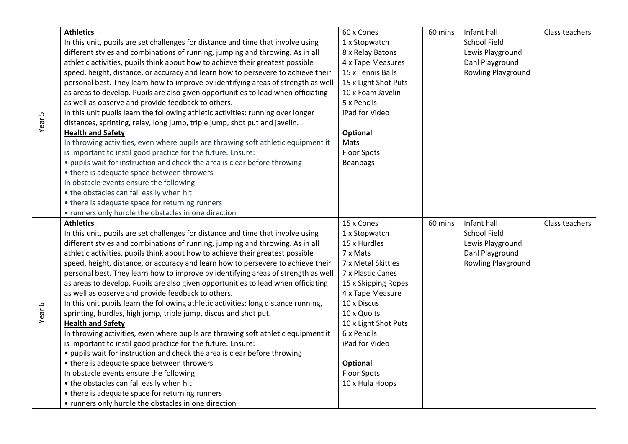| Year <sub>5</sub> | <b>Athletics</b>                                                                    | 60 x Cones           | 60 mins | Infant hall         | Class teachers |
|-------------------|-------------------------------------------------------------------------------------|----------------------|---------|---------------------|----------------|
|                   | In this unit, pupils are set challenges for distance and time that involve using    | 1 x Stopwatch        |         | <b>School Field</b> |                |
|                   | different styles and combinations of running, jumping and throwing. As in all       | 8 x Relay Batons     |         | Lewis Playground    |                |
|                   | athletic activities, pupils think about how to achieve their greatest possible      | 4 x Tape Measures    |         | Dahl Playground     |                |
|                   | speed, height, distance, or accuracy and learn how to persevere to achieve their    | 15 x Tennis Balls    |         | Rowling Playground  |                |
|                   | personal best. They learn how to improve by identifying areas of strength as well   | 15 x Light Shot Puts |         |                     |                |
|                   | as areas to develop. Pupils are also given opportunities to lead when officiating   | 10 x Foam Javelin    |         |                     |                |
|                   | as well as observe and provide feedback to others.                                  | 5 x Pencils          |         |                     |                |
|                   | In this unit pupils learn the following athletic activities: running over longer    | iPad for Video       |         |                     |                |
|                   | distances, sprinting, relay, long jump, triple jump, shot put and javelin.          |                      |         |                     |                |
|                   | <b>Health and Safety</b>                                                            | Optional             |         |                     |                |
|                   | In throwing activities, even where pupils are throwing soft athletic equipment it   | Mats                 |         |                     |                |
|                   | is important to instil good practice for the future. Ensure:                        | <b>Floor Spots</b>   |         |                     |                |
|                   | • pupils wait for instruction and check the area is clear before throwing           | Beanbags             |         |                     |                |
|                   | • there is adequate space between throwers                                          |                      |         |                     |                |
|                   | In obstacle events ensure the following:                                            |                      |         |                     |                |
|                   | • the obstacles can fall easily when hit                                            |                      |         |                     |                |
|                   | • there is adequate space for returning runners                                     |                      |         |                     |                |
|                   | • runners only hurdle the obstacles in one direction                                |                      |         |                     |                |
|                   | <b>Athletics</b>                                                                    | 15 x Cones           | 60 mins | Infant hall         | Class teachers |
|                   | In this unit, pupils are set challenges for distance and time that involve using    | 1 x Stopwatch        |         | <b>School Field</b> |                |
|                   | different styles and combinations of running, jumping and throwing. As in all       | 15 x Hurdles         |         | Lewis Playground    |                |
|                   | athletic activities, pupils think about how to achieve their greatest possible      | 7 x Mats             |         | Dahl Playground     |                |
|                   | speed, height, distance, or accuracy and learn how to persevere to achieve their    | 7 x Metal Skittles   |         | Rowling Playground  |                |
|                   | personal best. They learn how to improve by identifying areas of strength as well   | 7 x Plastic Canes    |         |                     |                |
|                   | as areas to develop. Pupils are also given opportunities to lead when officiating   | 15 x Skipping Ropes  |         |                     |                |
|                   | as well as observe and provide feedback to others.                                  | 4 x Tape Measure     |         |                     |                |
| Year <sub>6</sub> | In this unit pupils learn the following athletic activities: long distance running, | 10 x Discus          |         |                     |                |
|                   | sprinting, hurdles, high jump, triple jump, discus and shot put.                    | 10 x Quoits          |         |                     |                |
|                   | <b>Health and Safety</b>                                                            | 10 x Light Shot Puts |         |                     |                |
|                   | In throwing activities, even where pupils are throwing soft athletic equipment it   | 6 x Pencils          |         |                     |                |
|                   | is important to instil good practice for the future. Ensure:                        | iPad for Video       |         |                     |                |
|                   | • pupils wait for instruction and check the area is clear before throwing           |                      |         |                     |                |
|                   | • there is adequate space between throwers                                          | Optional             |         |                     |                |
|                   | In obstacle events ensure the following:                                            | <b>Floor Spots</b>   |         |                     |                |
|                   | • the obstacles can fall easily when hit                                            | 10 x Hula Hoops      |         |                     |                |
|                   |                                                                                     |                      |         |                     |                |
|                   | • there is adequate space for returning runners                                     |                      |         |                     |                |